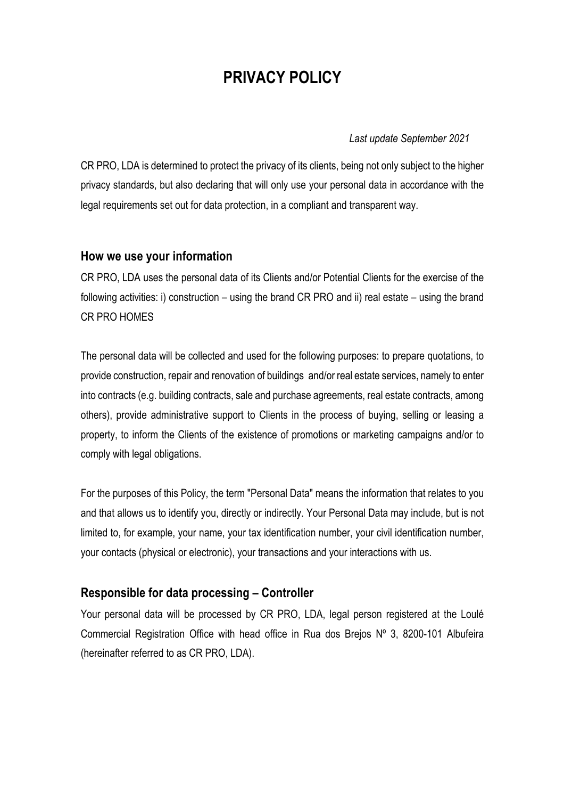# **PRIVACY POLICY**

*Last update September 2021*

CR PRO, LDA is determined to protect the privacy of its clients, being not only subject to the higher privacy standards, but also declaring that will only use your personal data in accordance with the legal requirements set out for data protection, in a compliant and transparent way.

#### **How we use your information**

CR PRO, LDA uses the personal data of its Clients and/or Potential Clients for the exercise of the following activities: i) construction – using the brand CR PRO and ii) real estate – using the brand CR PRO HOMES

The personal data will be collected and used for the following purposes: to prepare quotations, to provide construction, repair and renovation of buildings and/or real estate services, namely to enter into contracts (e.g. building contracts, sale and purchase agreements, real estate contracts, among others), provide administrative support to Clients in the process of buying, selling or leasing a property, to inform the Clients of the existence of promotions or marketing campaigns and/or to comply with legal obligations.

For the purposes of this Policy, the term "Personal Data" means the information that relates to you and that allows us to identify you, directly or indirectly. Your Personal Data may include, but is not limited to, for example, your name, your tax identification number, your civil identification number, your contacts (physical or electronic), your transactions and your interactions with us.

# **Responsible for data processing – Controller**

Your personal data will be processed by CR PRO, LDA, legal person registered at the Loulé Commercial Registration Office with head office in Rua dos Brejos Nº 3, 8200-101 Albufeira (hereinafter referred to as CR PRO, LDA).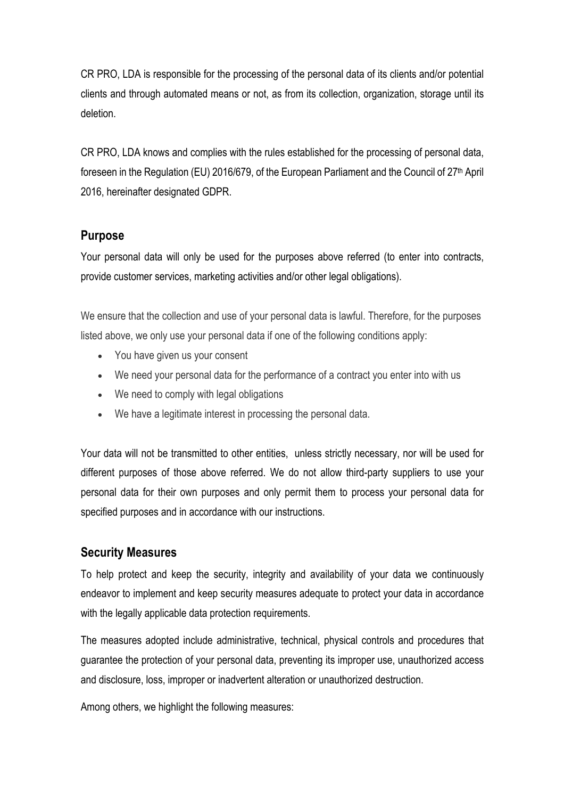CR PRO, LDA is responsible for the processing of the personal data of its clients and/or potential clients and through automated means or not, as from its collection, organization, storage until its deletion.

CR PRO, LDA knows and complies with the rules established for the processing of personal data, foreseen in the Regulation (EU) 2016/679, of the European Parliament and the Council of 27th April 2016, hereinafter designated GDPR.

# **Purpose**

Your personal data will only be used for the purposes above referred (to enter into contracts, provide customer services, marketing activities and/or other legal obligations).

We ensure that the collection and use of your personal data is lawful. Therefore, for the purposes listed above, we only use your personal data if one of the following conditions apply:

- You have given us your consent
- We need your personal data for the performance of a contract you enter into with us
- We need to comply with legal obligations
- We have a legitimate interest in processing the personal data.

Your data will not be transmitted to other entities, unless strictly necessary, nor will be used for different purposes of those above referred. We do not allow third-party suppliers to use your personal data for their own purposes and only permit them to process your personal data for specified purposes and in accordance with our instructions.

# **Security Measures**

To help protect and keep the security, integrity and availability of your data we continuously endeavor to implement and keep security measures adequate to protect your data in accordance with the legally applicable data protection requirements.

The measures adopted include administrative, technical, physical controls and procedures that guarantee the protection of your personal data, preventing its improper use, unauthorized access and disclosure, loss, improper or inadvertent alteration or unauthorized destruction.

Among others, we highlight the following measures: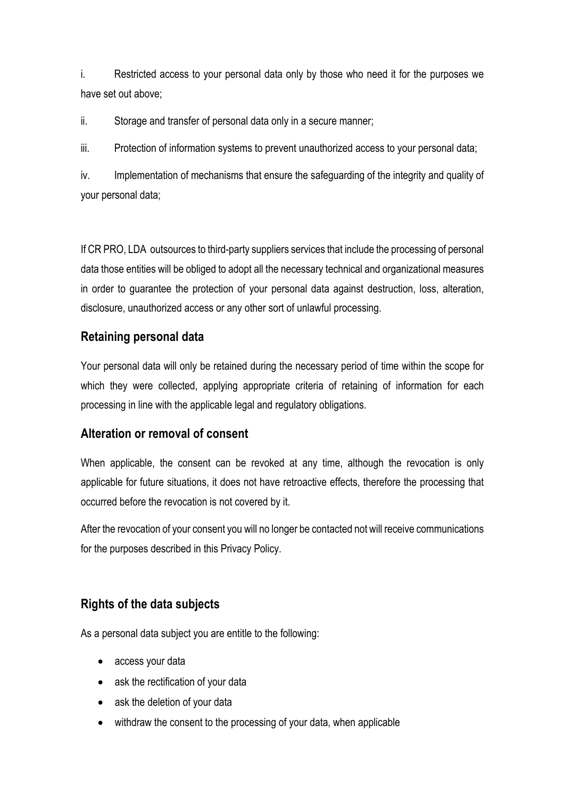i. Restricted access to your personal data only by those who need it for the purposes we have set out above;

ii. Storage and transfer of personal data only in a secure manner;

iii. Protection of information systems to prevent unauthorized access to your personal data;

iv. Implementation of mechanisms that ensure the safeguarding of the integrity and quality of your personal data;

If CR PRO, LDA outsources to third-party suppliers services that include the processing of personal data those entities will be obliged to adopt all the necessary technical and organizational measures in order to guarantee the protection of your personal data against destruction, loss, alteration, disclosure, unauthorized access or any other sort of unlawful processing.

#### **Retaining personal data**

Your personal data will only be retained during the necessary period of time within the scope for which they were collected, applying appropriate criteria of retaining of information for each processing in line with the applicable legal and regulatory obligations.

#### **Alteration or removal of consent**

When applicable, the consent can be revoked at any time, although the revocation is only applicable for future situations, it does not have retroactive effects, therefore the processing that occurred before the revocation is not covered by it.

After the revocation of your consent you will no longer be contacted not will receive communications for the purposes described in this Privacy Policy.

# **Rights of the data subjects**

As a personal data subject you are entitle to the following:

- access your data
- ask the rectification of your data
- ask the deletion of your data
- withdraw the consent to the processing of your data, when applicable